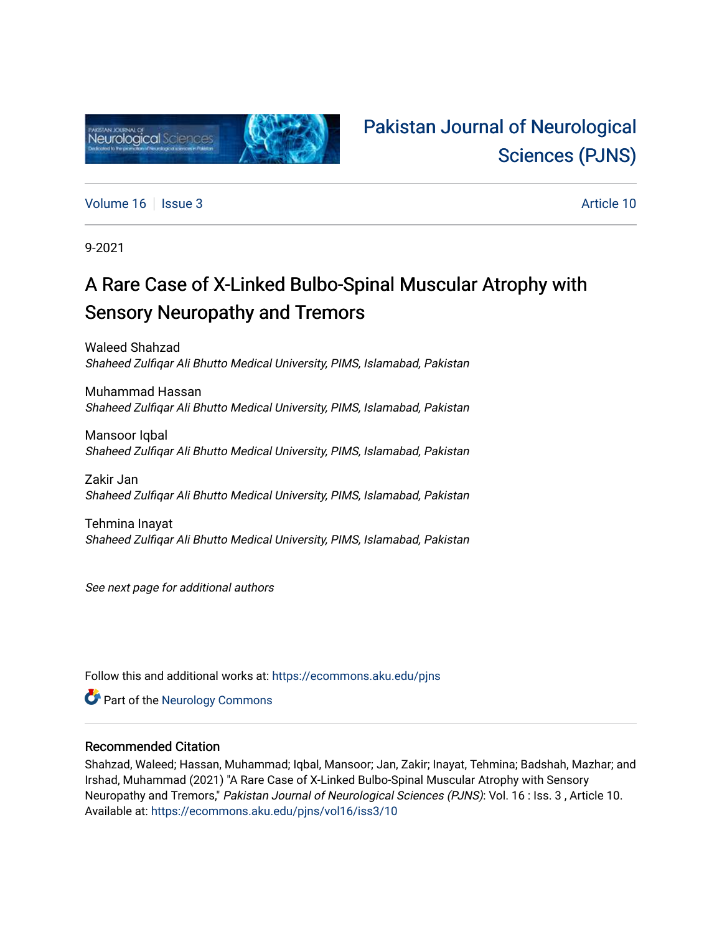

# [Pakistan Journal of Neurological](https://ecommons.aku.edu/pjns)  [Sciences \(PJNS\)](https://ecommons.aku.edu/pjns)

[Volume 16](https://ecommons.aku.edu/pjns/vol16) September 2014 10:00 10:00 10:00 10:00 10:00 10:00 10:00 10:00 10:00 10:00 10:00 10:00 10:00 10:00 10:00 10:00 10:00 10:00 10:00 10:00 10:00 10:00 10:00 10:00 10:00 10:00 10:00 10:00 10:00 10:00 10:00 10:00 10:00

9-2021

# A Rare Case of X-Linked Bulbo-Spinal Muscular Atrophy with Sensory Neuropathy and Tremors

Waleed Shahzad Shaheed Zulfiqar Ali Bhutto Medical University, PIMS, Islamabad, Pakistan

Muhammad Hassan Shaheed Zulfiqar Ali Bhutto Medical University, PIMS, Islamabad, Pakistan

Mansoor Iqbal Shaheed Zulfiqar Ali Bhutto Medical University, PIMS, Islamabad, Pakistan

Zakir Jan Shaheed Zulfiqar Ali Bhutto Medical University, PIMS, Islamabad, Pakistan

Tehmina Inayat Shaheed Zulfiqar Ali Bhutto Medical University, PIMS, Islamabad, Pakistan

See next page for additional authors

Follow this and additional works at: [https://ecommons.aku.edu/pjns](https://ecommons.aku.edu/pjns?utm_source=ecommons.aku.edu%2Fpjns%2Fvol16%2Fiss3%2F10&utm_medium=PDF&utm_campaign=PDFCoverPages) 

Part of the [Neurology Commons](http://network.bepress.com/hgg/discipline/692?utm_source=ecommons.aku.edu%2Fpjns%2Fvol16%2Fiss3%2F10&utm_medium=PDF&utm_campaign=PDFCoverPages)

### Recommended Citation

Shahzad, Waleed; Hassan, Muhammad; Iqbal, Mansoor; Jan, Zakir; Inayat, Tehmina; Badshah, Mazhar; and Irshad, Muhammad (2021) "A Rare Case of X-Linked Bulbo-Spinal Muscular Atrophy with Sensory Neuropathy and Tremors," Pakistan Journal of Neurological Sciences (PJNS): Vol. 16 : Iss. 3 , Article 10. Available at: [https://ecommons.aku.edu/pjns/vol16/iss3/10](https://ecommons.aku.edu/pjns/vol16/iss3/10?utm_source=ecommons.aku.edu%2Fpjns%2Fvol16%2Fiss3%2F10&utm_medium=PDF&utm_campaign=PDFCoverPages)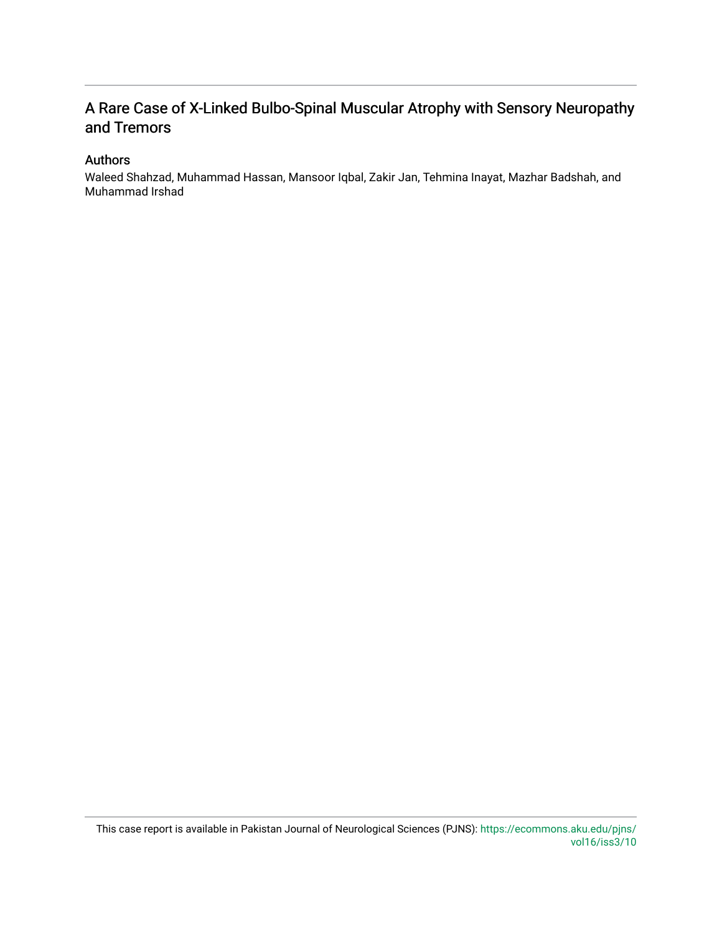### A Rare Case of X-Linked Bulbo-Spinal Muscular Atrophy with Sensory Neuropathy and Tremors

### Authors

Waleed Shahzad, Muhammad Hassan, Mansoor Iqbal, Zakir Jan, Tehmina Inayat, Mazhar Badshah, and Muhammad Irshad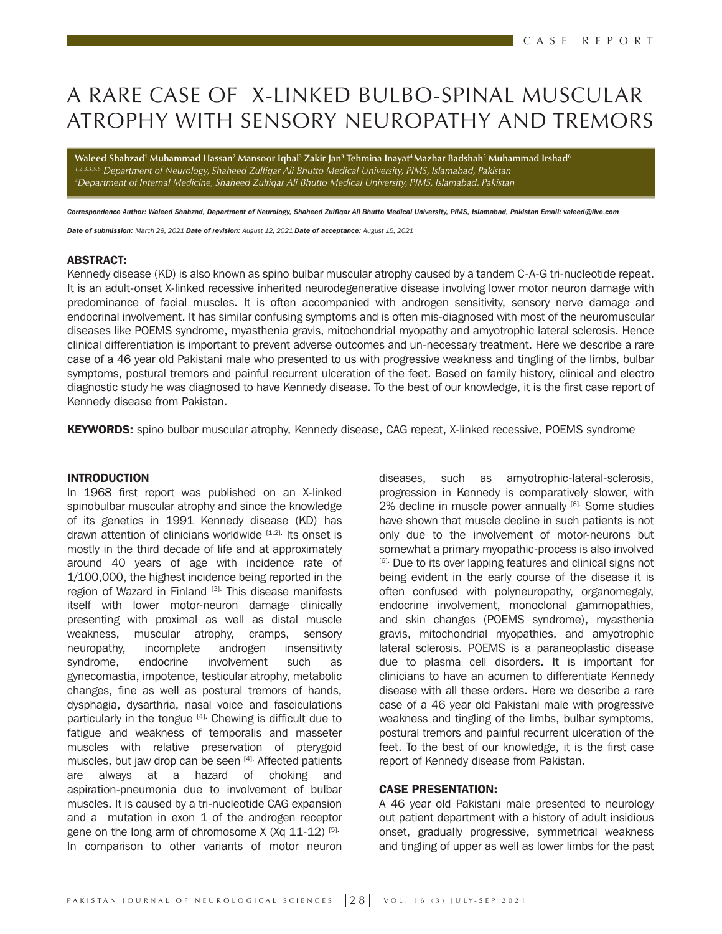# A RARE CASE OF X-LINKED BULBO-SPINAL MUSCULAR ATROPHY WITH SENSORY NEUROPATHY AND TREMORS

Waleed Shahzad<sup>1</sup> Muhammad Hassan<sup>2</sup> Mansoor Iqbal<sup>3</sup> Zakir Jan<sup>3</sup> Tehmina Inayat<sup>4</sup>Mazhar Badshah<sup>5</sup> Muhammad Irshad<sup>6</sup> *1,2,3,3,5,6 Department of Neurology, Shaheed Zulqar Ali Bhutto Medical University, PIMS, Islamabad, Pakistan 4 Department of Internal Medicine, Shaheed Zulqar Ali Bhutto Medical University, PIMS, Islamabad, Pakistan*

*Correspondence Author: Waleed Shahzad, Department of Neurology, Shaheed Zulfiqar Ali Bhutto Medical University, PIMS, Islamabad, Pakistan Email: valeed@live.com*

*Date of submission: March 29, 2021 Date of revision: August 12, 2021 Date of acceptance: August 15, 2021*

#### ABSTRACT:

Kennedy disease (KD) is also known as spino bulbar muscular atrophy caused by a tandem C-A-G tri-nucleotide repeat. It is an adult-onset X-linked recessive inherited neurodegenerative disease involving lower motor neuron damage with predominance of facial muscles. It is often accompanied with androgen sensitivity, sensory nerve damage and endocrinal involvement. It has similar confusing symptoms and is often mis-diagnosed with most of the neuromuscular diseases like POEMS syndrome, myasthenia gravis, mitochondrial myopathy and amyotrophic lateral sclerosis. Hence clinical differentiation is important to prevent adverse outcomes and un-necessary treatment. Here we describe a rare case of a 46 year old Pakistani male who presented to us with progressive weakness and tingling of the limbs, bulbar symptoms, postural tremors and painful recurrent ulceration of the feet. Based on family history, clinical and electro diagnostic study he was diagnosed to have Kennedy disease. To the best of our knowledge, it is the first case report of Kennedy disease from Pakistan.

KEYWORDS: spino bulbar muscular atrophy, Kennedy disease, CAG repeat, X-linked recessive, POEMS syndrome

#### INTRODUCTION

In 1968 first report was published on an X-linked spinobulbar muscular atrophy and since the knowledge of its genetics in 1991 Kennedy disease (KD) has drawn attention of clinicians worldwide [1,2]. Its onset is mostly in the third decade of life and at approximately around 40 years of age with incidence rate of 1/100,000, the highest incidence being reported in the region of Wazard in Finland [3]. This disease manifests itself with lower motor-neuron damage clinically presenting with proximal as well as distal muscle weakness, muscular atrophy, cramps, sensory neuropathy, incomplete androgen insensitivity syndrome, endocrine involvement such as gynecomastia, impotence, testicular atrophy, metabolic changes, fine as well as postural tremors of hands, dysphagia, dysarthria, nasal voice and fasciculations particularly in the tongue [4]. Chewing is difficult due to fatigue and weakness of temporalis and masseter muscles with relative preservation of pterygoid muscles, but jaw drop can be seen [4]. Affected patients are always at a hazard of choking and aspiration-pneumonia due to involvement of bulbar muscles. It is caused by a tri-nucleotide CAG expansion and a mutation in exon 1 of the androgen receptor gene on the long arm of chromosome  $X$  (Xq 11-12) [5]. In comparison to other variants of motor neuron

diseases, such as amyotrophic-lateral-sclerosis, progression in Kennedy is comparatively slower, with 2% decline in muscle power annually [6]. Some studies have shown that muscle decline in such patients is not only due to the involvement of motor-neurons but somewhat a primary myopathic-process is also involved [6]. Due to its over lapping features and clinical signs not being evident in the early course of the disease it is often confused with polyneuropathy, organomegaly, endocrine involvement, monoclonal gammopathies, and skin changes (POEMS syndrome), myasthenia gravis, mitochondrial myopathies, and amyotrophic lateral sclerosis. POEMS is a paraneoplastic disease due to plasma cell disorders. It is important for clinicians to have an acumen to differentiate Kennedy disease with all these orders. Here we describe a rare case of a 46 year old Pakistani male with progressive weakness and tingling of the limbs, bulbar symptoms, postural tremors and painful recurrent ulceration of the feet. To the best of our knowledge, it is the first case report of Kennedy disease from Pakistan.

#### CASE PRESENTATION:

A 46 year old Pakistani male presented to neurology out patient department with a history of adult insidious onset, gradually progressive, symmetrical weakness and tingling of upper as well as lower limbs for the past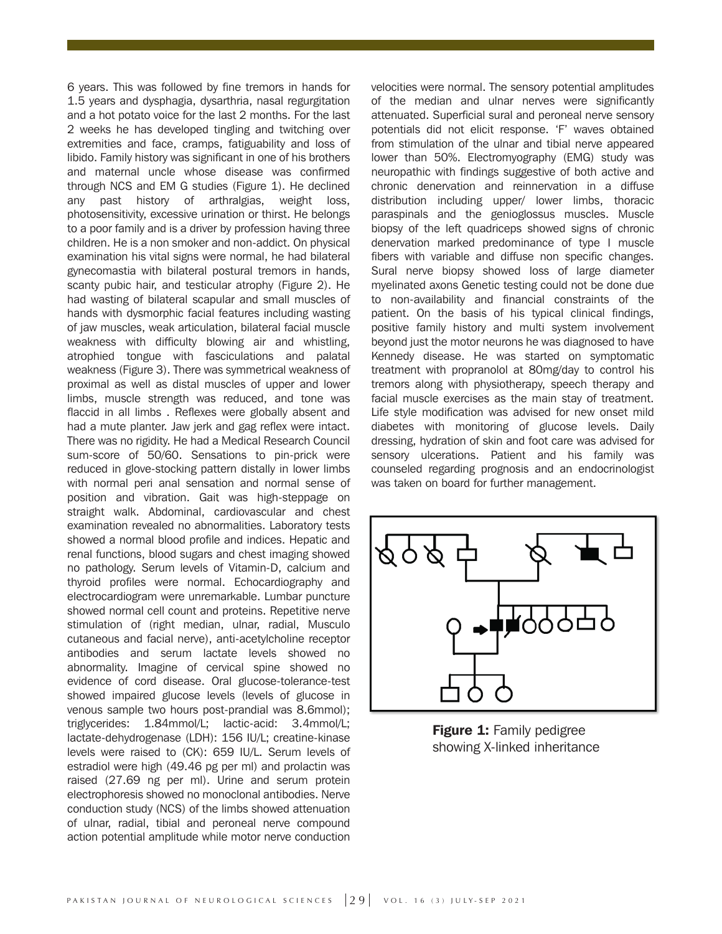6 years. This was followed by fine tremors in hands for 1.5 years and dysphagia, dysarthria, nasal regurgitation and a hot potato voice for the last 2 months. For the last 2 weeks he has developed tingling and twitching over extremities and face, cramps, fatiguability and loss of libido. Family history was significant in one of his brothers and maternal uncle whose disease was confirmed through NCS and EM G studies (Figure 1). He declined any past history of arthralgias, weight loss, photosensitivity, excessive urination or thirst. He belongs to a poor family and is a driver by profession having three children. He is a non smoker and non-addict. On physical examination his vital signs were normal, he had bilateral gynecomastia with bilateral postural tremors in hands, scanty pubic hair, and testicular atrophy (Figure 2). He had wasting of bilateral scapular and small muscles of hands with dysmorphic facial features including wasting of jaw muscles, weak articulation, bilateral facial muscle weakness with difficulty blowing air and whistling, atrophied tongue with fasciculations and palatal weakness (Figure 3). There was symmetrical weakness of proximal as well as distal muscles of upper and lower limbs, muscle strength was reduced, and tone was flaccid in all limbs . Reflexes were globally absent and had a mute planter. Jaw jerk and gag reflex were intact. There was no rigidity. He had a Medical Research Council sum-score of 50/60. Sensations to pin-prick were reduced in glove-stocking pattern distally in lower limbs with normal peri anal sensation and normal sense of position and vibration. Gait was high-steppage on straight walk. Abdominal, cardiovascular and chest examination revealed no abnormalities. Laboratory tests showed a normal blood profile and indices. Hepatic and renal functions, blood sugars and chest imaging showed no pathology. Serum levels of Vitamin-D, calcium and thyroid profiles were normal. Echocardiography and electrocardiogram were unremarkable. Lumbar puncture showed normal cell count and proteins. Repetitive nerve stimulation of (right median, ulnar, radial, Musculo cutaneous and facial nerve), anti-acetylcholine receptor antibodies and serum lactate levels showed no abnormality. Imagine of cervical spine showed no evidence of cord disease. Oral glucose-tolerance-test showed impaired glucose levels (levels of glucose in venous sample two hours post-prandial was 8.6mmol); triglycerides: 1.84mmol/L; lactic-acid: 3.4mmol/L; lactate-dehydrogenase (LDH): 156 IU/L; creatine-kinase levels were raised to (CK): 659 IU/L. Serum levels of estradiol were high (49.46 pg per ml) and prolactin was raised (27.69 ng per ml). Urine and serum protein electrophoresis showed no monoclonal antibodies. Nerve conduction study (NCS) of the limbs showed attenuation of ulnar, radial, tibial and peroneal nerve compound action potential amplitude while motor nerve conduction

velocities were normal. The sensory potential amplitudes of the median and ulnar nerves were significantly attenuated. Superficial sural and peroneal nerve sensory potentials did not elicit response. 'F' waves obtained from stimulation of the ulnar and tibial nerve appeared lower than 50%. Electromyography (EMG) study was neuropathic with findings suggestive of both active and chronic denervation and reinnervation in a diffuse distribution including upper/ lower limbs, thoracic paraspinals and the genioglossus muscles. Muscle biopsy of the left quadriceps showed signs of chronic denervation marked predominance of type I muscle fibers with variable and diffuse non specific changes. Sural nerve biopsy showed loss of large diameter myelinated axons Genetic testing could not be done due to non-availability and financial constraints of the patient. On the basis of his typical clinical findings, positive family history and multi system involvement beyond just the motor neurons he was diagnosed to have Kennedy disease. He was started on symptomatic treatment with propranolol at 80mg/day to control his tremors along with physiotherapy, speech therapy and facial muscle exercises as the main stay of treatment. Life style modification was advised for new onset mild diabetes with monitoring of glucose levels. Daily dressing, hydration of skin and foot care was advised for sensory ulcerations. Patient and his family was counseled regarding prognosis and an endocrinologist was taken on board for further management.



**Figure 1:** Family pedigree showing X-linked inheritance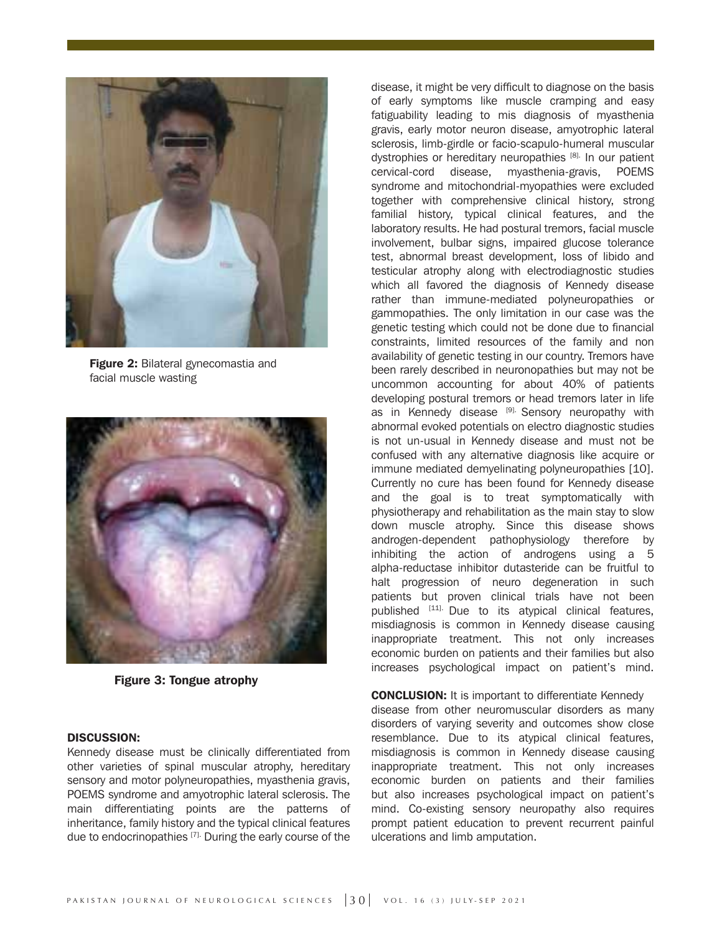

Figure 2: Bilateral gynecomastia and facial muscle wasting



Figure 3: Tongue atrophy

#### DISCUSSION:

Kennedy disease must be clinically differentiated from other varieties of spinal muscular atrophy, hereditary sensory and motor polyneuropathies, myasthenia gravis, POEMS syndrome and amyotrophic lateral sclerosis. The main differentiating points are the patterns of inheritance, family history and the typical clinical features due to endocrinopathies [7]. During the early course of the disease, it might be very difficult to diagnose on the basis of early symptoms like muscle cramping and easy fatiguability leading to mis diagnosis of myasthenia gravis, early motor neuron disease, amyotrophic lateral sclerosis, limb-girdle or facio-scapulo-humeral muscular dystrophies or hereditary neuropathies [8]. In our patient cervical-cord disease, myasthenia-gravis, POEMS syndrome and mitochondrial-myopathies were excluded together with comprehensive clinical history, strong familial history, typical clinical features, and the laboratory results. He had postural tremors, facial muscle involvement, bulbar signs, impaired glucose tolerance test, abnormal breast development, loss of libido and testicular atrophy along with electrodiagnostic studies which all favored the diagnosis of Kennedy disease rather than immune-mediated polyneuropathies or gammopathies. The only limitation in our case was the genetic testing which could not be done due to financial constraints, limited resources of the family and non availability of genetic testing in our country. Tremors have been rarely described in neuronopathies but may not be uncommon accounting for about 40% of patients developing postural tremors or head tremors later in life as in Kennedy disease [9]. Sensory neuropathy with abnormal evoked potentials on electro diagnostic studies is not un-usual in Kennedy disease and must not be confused with any alternative diagnosis like acquire or immune mediated demyelinating polyneuropathies [10]. Currently no cure has been found for Kennedy disease and the goal is to treat symptomatically with physiotherapy and rehabilitation as the main stay to slow down muscle atrophy. Since this disease shows androgen-dependent pathophysiology therefore by inhibiting the action of androgens using a 5 alpha-reductase inhibitor dutasteride can be fruitful to halt progression of neuro degeneration in such patients but proven clinical trials have not been published [11]. Due to its atypical clinical features, misdiagnosis is common in Kennedy disease causing inappropriate treatment. This not only increases economic burden on patients and their families but also increases psychological impact on patient's mind.

CONCLUSION: It is important to differentiate Kennedy disease from other neuromuscular disorders as many disorders of varying severity and outcomes show close resemblance. Due to its atypical clinical features, misdiagnosis is common in Kennedy disease causing inappropriate treatment. This not only increases economic burden on patients and their families but also increases psychological impact on patient's mind. Co-existing sensory neuropathy also requires prompt patient education to prevent recurrent painful ulcerations and limb amputation.